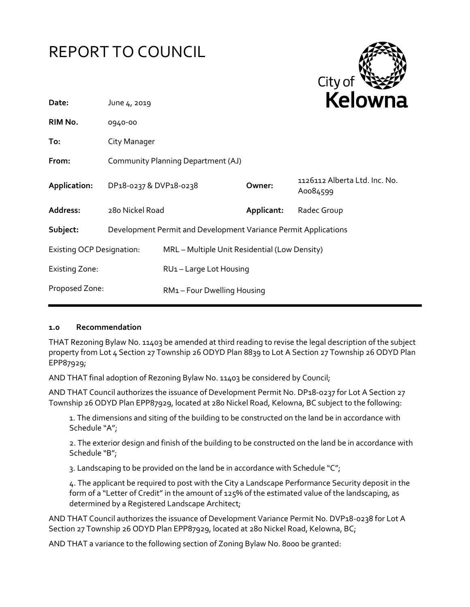# REPORT TO COUNCIL



| 1126112 Alberta Ltd. Inc. No.                 |  |
|-----------------------------------------------|--|
|                                               |  |
|                                               |  |
| MRL - Multiple Unit Residential (Low Density) |  |
|                                               |  |
| RM1-Four Dwelling Housing                     |  |
|                                               |  |

# **1.0 Recommendation**

THAT Rezoning Bylaw No. 11403 be amended at third reading to revise the legal description of the subject property from Lot 4 Section 27 Township 26 ODYD Plan 8839 to Lot A Section 27 Township 26 ODYD Plan EPP87929;

AND THAT final adoption of Rezoning Bylaw No. 11403 be considered by Council;

AND THAT Council authorizes the issuance of Development Permit No. DP18-0237 for Lot A Section 27 Township 26 ODYD Plan EPP87929, located at 280 Nickel Road, Kelowna, BC subject to the following:

1. The dimensions and siting of the building to be constructed on the land be in accordance with Schedule "A";

2. The exterior design and finish of the building to be constructed on the land be in accordance with Schedule "B";

3. Landscaping to be provided on the land be in accordance with Schedule "C";

4. The applicant be required to post with the City a Landscape Performance Security deposit in the form of a "Letter of Credit" in the amount of 125% of the estimated value of the landscaping, as determined by a Registered Landscape Architect;

AND THAT Council authorizes the issuance of Development Variance Permit No. DVP18-0238 for Lot A Section 27 Township 26 ODYD Plan EPP87929, located at 280 Nickel Road, Kelowna, BC;

AND THAT a variance to the following section of Zoning Bylaw No. 8000 be granted: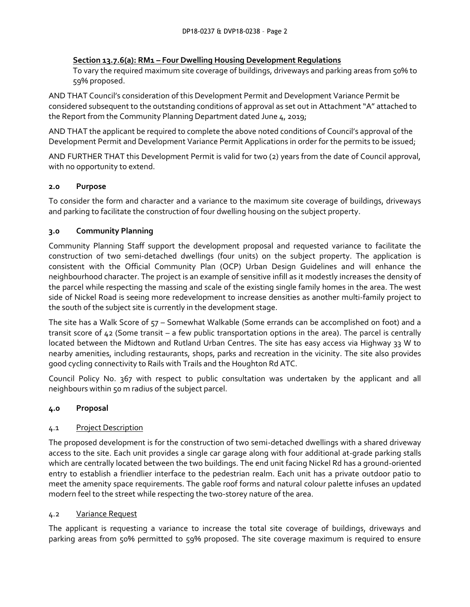## **Section 13.7.6(a): RM1 – Four Dwelling Housing Development Regulations**

To vary the required maximum site coverage of buildings, driveways and parking areas from 50% to 59% proposed.

AND THAT Council's consideration of this Development Permit and Development Variance Permit be considered subsequent to the outstanding conditions of approval as set out in Attachment "A" attached to the Report from the Community Planning Department dated June 4, 2019;

AND THAT the applicant be required to complete the above noted conditions of Council's approval of the Development Permit and Development Variance Permit Applications in order for the permits to be issued;

AND FURTHER THAT this Development Permit is valid for two (2) years from the date of Council approval, with no opportunity to extend.

# **2.0 Purpose**

To consider the form and character and a variance to the maximum site coverage of buildings, driveways and parking to facilitate the construction of four dwelling housing on the subject property.

# **3.0 Community Planning**

Community Planning Staff support the development proposal and requested variance to facilitate the construction of two semi-detached dwellings (four units) on the subject property. The application is consistent with the Official Community Plan (OCP) Urban Design Guidelines and will enhance the neighbourhood character. The project is an example of sensitive infill as it modestly increases the density of the parcel while respecting the massing and scale of the existing single family homes in the area. The west side of Nickel Road is seeing more redevelopment to increase densities as another multi-family project to the south of the subject site is currently in the development stage.

The site has a Walk Score of 57 – Somewhat Walkable (Some errands can be accomplished on foot) and a transit score of 42 (Some transit – a few public transportation options in the area). The parcel is centrally located between the Midtown and Rutland Urban Centres. The site has easy access via Highway 33 W to nearby amenities, including restaurants, shops, parks and recreation in the vicinity. The site also provides good cycling connectivity to Rails with Trails and the Houghton Rd ATC.

Council Policy No. 367 with respect to public consultation was undertaken by the applicant and all neighbours within 50 m radius of the subject parcel.

# **4.0 Proposal**

# 4.1 Project Description

The proposed development is for the construction of two semi-detached dwellings with a shared driveway access to the site. Each unit provides a single car garage along with four additional at-grade parking stalls which are centrally located between the two buildings. The end unit facing Nickel Rd has a ground-oriented entry to establish a friendlier interface to the pedestrian realm. Each unit has a private outdoor patio to meet the amenity space requirements. The gable roof forms and natural colour palette infuses an updated modern feel to the street while respecting the two-storey nature of the area.

# 4.2 Variance Request

The applicant is requesting a variance to increase the total site coverage of buildings, driveways and parking areas from 50% permitted to 59% proposed. The site coverage maximum is required to ensure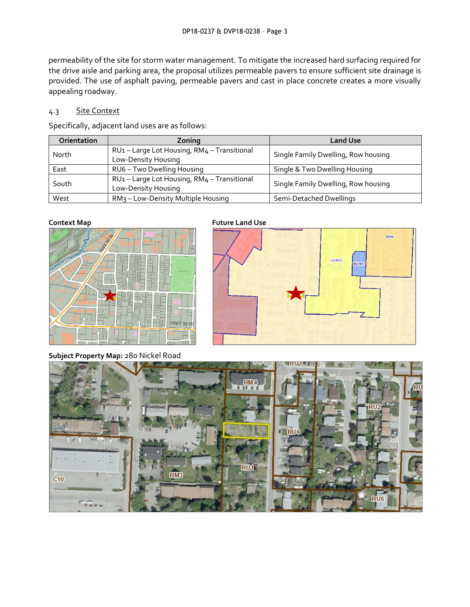permeability of the site for storm water management. To mitigate the increased hard surfacing required for the drive aisle and parking area, the proposal utilizes permeable pavers to ensure sufficient site drainage is provided. The use of asphalt paving, permeable pavers and cast in place concrete creates a more visually appealing roadway.

# 4.3 Site Context

Specifically, adjacent land uses are as follows:

| <b>Orientation</b> | Zoning                                                         | <b>Land Use</b>                     |
|--------------------|----------------------------------------------------------------|-------------------------------------|
| North              | RU1-Large Lot Housing, RM4-Transitional<br>Low-Density Housing | Single Family Dwelling, Row housing |
| East               | RU6 - Two Dwelling Housing                                     | Single & Two Dwelling Housing       |
| South              | RU1-Large Lot Housing, RM4-Transitional<br>Low-Density Housing | Single Family Dwelling, Row housing |
| West               | RM <sub>3</sub> – Low-Density Multiple Housing                 | Semi-Detached Dwellings             |



**Context Map Future Land Use** 



**Subject Property Map:** 280 Nickel Road

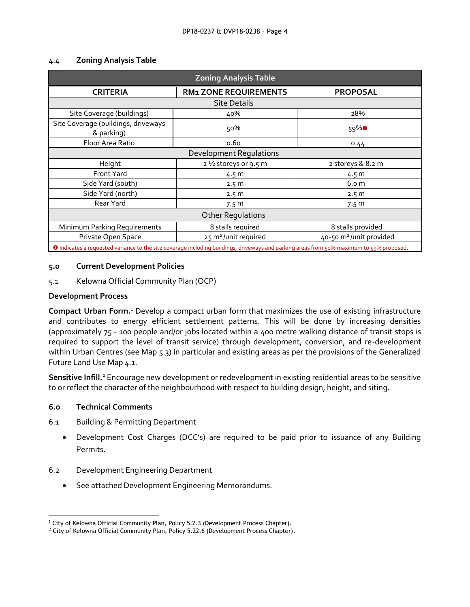| <b>Zoning Analysis Table</b>                                                                                                             |                                  |                                     |  |  |  |
|------------------------------------------------------------------------------------------------------------------------------------------|----------------------------------|-------------------------------------|--|--|--|
| <b>CRITERIA</b>                                                                                                                          | <b>RM1 ZONE REQUIREMENTS</b>     | <b>PROPOSAL</b>                     |  |  |  |
| <b>Site Details</b>                                                                                                                      |                                  |                                     |  |  |  |
| Site Coverage (buildings)                                                                                                                | 40%                              | 28%                                 |  |  |  |
| Site Coverage (buildings, driveways<br>& parking)                                                                                        | 50%                              | 59% <sup>0</sup>                    |  |  |  |
| Floor Area Ratio                                                                                                                         | 0.60                             | 0.44                                |  |  |  |
| Development Regulations                                                                                                                  |                                  |                                     |  |  |  |
| Height                                                                                                                                   | 2 1/2 storeys or 9.5 m           | 2 storeys & 8.2 m                   |  |  |  |
| Front Yard                                                                                                                               | 4.5 m                            | 4.5 m                               |  |  |  |
| Side Yard (south)                                                                                                                        | 2.5 <sub>m</sub>                 | 6.0 <sub>m</sub>                    |  |  |  |
| Side Yard (north)                                                                                                                        | 2.5 <sub>m</sub>                 | 2.5 <sub>m</sub>                    |  |  |  |
| Rear Yard                                                                                                                                | 7.5 <sub>m</sub>                 | 7.5 <sub>m</sub>                    |  |  |  |
| <b>Other Regulations</b>                                                                                                                 |                                  |                                     |  |  |  |
| Minimum Parking Requirements                                                                                                             | 8 stalls required                | 8 stalls provided                   |  |  |  |
| Private Open Space                                                                                                                       | 25 m <sup>2</sup> /unit required | 40-50 m <sup>2</sup> /unit provided |  |  |  |
| O Indicates a requested variance to the site coverage including buildings, driveways and parking areas from 50% maximum to 59% proposed. |                                  |                                     |  |  |  |

### 4.4 **Zoning Analysis Table**

### **5.0 Current Development Policies**

5.1 Kelowna Official Community Plan (OCP)

### **Development Process**

**Compact Urban Form.**<sup>1</sup> Develop a compact urban form that maximizes the use of existing infrastructure and contributes to energy efficient settlement patterns. This will be done by increasing densities (approximately 75 - 100 people and/or jobs located within a 400 metre walking distance of transit stops is required to support the level of transit service) through development, conversion, and re-development within Urban Centres (see Map 5.3) in particular and existing areas as per the provisions of the Generalized Future Land Use Map 4.1.

**Sensitive Infill.**<sup>2</sup> Encourage new development or redevelopment in existing residential areas to be sensitive to or reflect the character of the neighbourhood with respect to building design, height, and siting.

### **6.0 Technical Comments**

-

### 6.1 Building & Permitting Department

- Development Cost Charges (DCC's) are required to be paid prior to issuance of any Building Permits.
- 6.2 Development Engineering Department
	- See attached Development Engineering Memorandums.

<sup>1</sup> City of Kelowna Official Community Plan, Policy 5.2.3 (Development Process Chapter).

 $2$  City of Kelowna Official Community Plan, Policy 5.22.6 (Development Process Chapter).